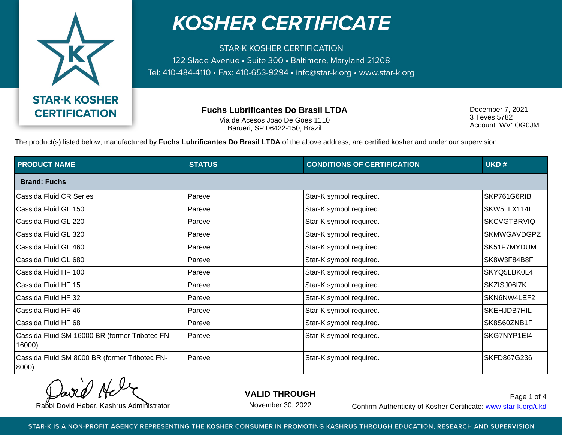

**STAR-K KOSHER CERTIFICATION** 122 Slade Avenue · Suite 300 · Baltimore, Maryland 21208 Tel: 410-484-4110 · Fax: 410-653-9294 · info@star-k.org · www.star-k.org

**Fuchs Lubrificantes Do Brasil LTDA**

Via de Acesos Joao De Goes 1110 Barueri, SP 06422-150, Brazil

December 7, 2021 3 Teves 5782 Account: WV1OG0JM

The product(s) listed below, manufactured by **Fuchs Lubrificantes Do Brasil LTDA** of the above address, are certified kosher and under our supervision.

| <b>PRODUCT NAME</b>                                      | <b>STATUS</b> | <b>CONDITIONS OF CERTIFICATION</b> | UKD#               |
|----------------------------------------------------------|---------------|------------------------------------|--------------------|
| <b>Brand: Fuchs</b>                                      |               |                                    |                    |
| Cassida Fluid CR Series                                  | Pareve        | Star-K symbol required.            | SKP761G6RIB        |
| Cassida Fluid GL 150                                     | Pareve        | Star-K symbol required.            | SKW5LLX114L        |
| Cassida Fluid GL 220                                     | Pareve        | Star-K symbol required.            | <b>SKCVGTBRVIQ</b> |
| Cassida Fluid GL 320                                     | Pareve        | Star-K symbol required.            | <b>SKMWGAVDGPZ</b> |
| Cassida Fluid GL 460                                     | Pareve        | Star-K symbol required.            | SK51F7MYDUM        |
| Cassida Fluid GL 680                                     | Pareve        | Star-K symbol required.            | SK8W3F84B8F        |
| Cassida Fluid HF 100                                     | Pareve        | Star-K symbol required.            | SKYQ5LBK0L4        |
| Cassida Fluid HF 15                                      | Pareve        | Star-K symbol required.            | SKZISJ06I7K        |
| Cassida Fluid HF 32                                      | Pareve        | Star-K symbol required.            | SKN6NW4LEF2        |
| Cassida Fluid HF 46                                      | Pareve        | Star-K symbol required.            | SKEHJDB7HIL        |
| Cassida Fluid HF 68                                      | Pareve        | Star-K symbol required.            | SK8S60ZNB1F        |
| Cassida Fluid SM 16000 BR (former Tribotec FN-<br>16000) | Pareve        | Star-K symbol required.            | SKG7NYP1EI4        |
| Cassida Fluid SM 8000 BR (former Tribotec FN-<br>8000)   | Pareve        | Star-K symbol required.            | SKFD867G236        |

**VALID THROUGH**

November 30, 2022

Rabbi Dovid Heber, Kashrus Administrator **Confirm Authenticity of Kosher Certificate:** www.star-k.org/ukd Page 1 of 4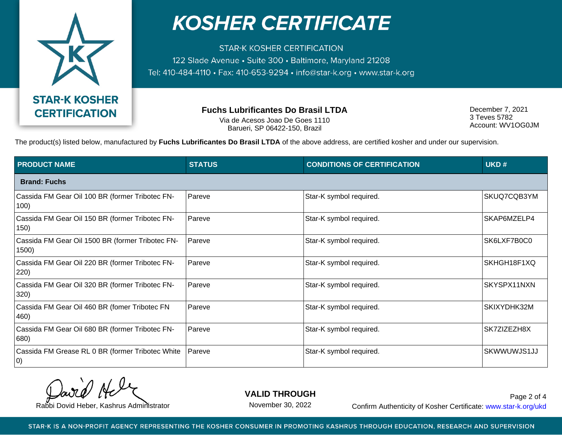

**STAR-K KOSHER CERTIFICATION** 122 Slade Avenue · Suite 300 · Baltimore, Maryland 21208 Tel: 410-484-4110 · Fax: 410-653-9294 · info@star-k.org · www.star-k.org

**Fuchs Lubrificantes Do Brasil LTDA**

Via de Acesos Joao De Goes 1110 Barueri, SP 06422-150, Brazil

December 7, 2021 3 Teves 5782 Account: WV1OG0JM

The product(s) listed below, manufactured by **Fuchs Lubrificantes Do Brasil LTDA** of the above address, are certified kosher and under our supervision.

| <b>PRODUCT NAME</b>                                             | <b>STATUS</b> | <b>CONDITIONS OF CERTIFICATION</b> | UKD#        |  |  |
|-----------------------------------------------------------------|---------------|------------------------------------|-------------|--|--|
| <b>Brand: Fuchs</b>                                             |               |                                    |             |  |  |
| Cassida FM Gear Oil 100 BR (former Tribotec FN-<br>100)         | Pareve        | Star-K symbol required.            | SKUQ7CQB3YM |  |  |
| Cassida FM Gear Oil 150 BR (former Tribotec FN-<br>150)         | Pareve        | Star-K symbol required.            | SKAP6MZELP4 |  |  |
| Cassida FM Gear Oil 1500 BR (former Tribotec FN-<br>1500)       | Pareve        | Star-K symbol required.            | SK6LXF7B0C0 |  |  |
| Cassida FM Gear Oil 220 BR (former Tribotec FN-<br>220)         | Pareve        | Star-K symbol required.            | SKHGH18F1XQ |  |  |
| Cassida FM Gear Oil 320 BR (former Tribotec FN-<br>320)         | Pareve        | Star-K symbol required.            | SKYSPX11NXN |  |  |
| Cassida FM Gear Oil 460 BR (fomer Tribotec FN<br>460)           | Pareve        | Star-K symbol required.            | SKIXYDHK32M |  |  |
| Cassida FM Gear Oil 680 BR (former Tribotec FN-<br>680)         | Pareve        | Star-K symbol required.            | SK7ZIZEZH8X |  |  |
| Cassida FM Grease RL 0 BR (former Tribotec White<br>$ 0\rangle$ | Pareve        | Star-K symbol required.            | SKWWUWJS1JJ |  |  |

**VALID THROUGH**

November 30, 2022

Rabbi Dovid Heber, Kashrus Administrator **Confirm Authenticity of Kosher Certificate:** www.star-k.org/ukd Page 2 of 4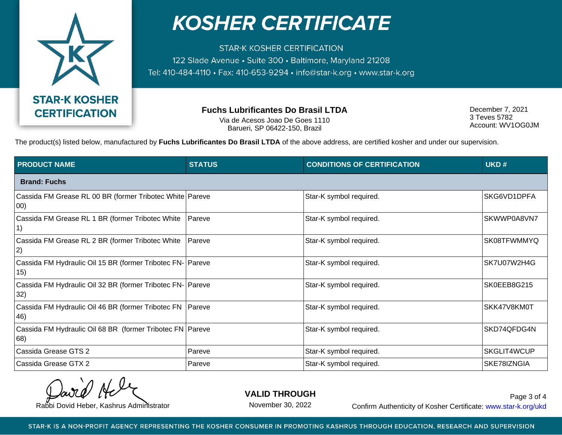

**STAR-K KOSHER CERTIFICATION** 122 Slade Avenue · Suite 300 · Baltimore, Maryland 21208 Tel: 410-484-4110 · Fax: 410-653-9294 · info@star-k.org · www.star-k.org

**Fuchs Lubrificantes Do Brasil LTDA**

Via de Acesos Joao De Goes 1110 Barueri, SP 06422-150, Brazil

December 7, 2021 3 Teves 5782 Account: WV1OG0JM

The product(s) listed below, manufactured by **Fuchs Lubrificantes Do Brasil LTDA** of the above address, are certified kosher and under our supervision.

| <b>PRODUCT NAME</b>                                                 | <b>STATUS</b> | <b>CONDITIONS OF CERTIFICATION</b> | UKD#        |  |  |
|---------------------------------------------------------------------|---------------|------------------------------------|-------------|--|--|
| <b>Brand: Fuchs</b>                                                 |               |                                    |             |  |  |
| Cassida FM Grease RL 00 BR (former Tribotec White Pareve<br>00)     |               | Star-K symbol required.            | SKG6VD1DPFA |  |  |
| Cassida FM Grease RL 1 BR (former Tribotec White                    | Pareve        | Star-K symbol required.            | SKWWP0A8VN7 |  |  |
| Cassida FM Grease RL 2 BR (former Tribotec White<br> 2)             | Pareve        | Star-K symbol required.            | SK08TFWMMYQ |  |  |
| Cassida FM Hydraulic Oil 15 BR (former Tribotec FN-   Pareve<br>15) |               | Star-K symbol required.            | SK7U07W2H4G |  |  |
| Cassida FM Hydraulic Oil 32 BR (former Tribotec FN-   Pareve<br>32) |               | Star-K symbol required.            | SK0EEB8G215 |  |  |
| Cassida FM Hydraulic Oil 46 BR (former Tribotec FN   Pareve<br>46)  |               | Star-K symbol required.            | SKK47V8KM0T |  |  |
| Cassida FM Hydraulic Oil 68 BR (former Tribotec FN   Pareve<br> 68) |               | Star-K symbol required.            | SKD74QFDG4N |  |  |
| Cassida Grease GTS 2                                                | Pareve        | Star-K symbol required.            | SKGLIT4WCUP |  |  |
| Cassida Grease GTX 2                                                | Pareve        | Star-K symbol required.            | SKE78IZNGIA |  |  |

**VALID THROUGH**

November 30, 2022

Rabbi Dovid Heber, Kashrus Administrator **Confirm Authenticity of Kosher Certificate:** www.star-k.org/ukd Page 3 of 4